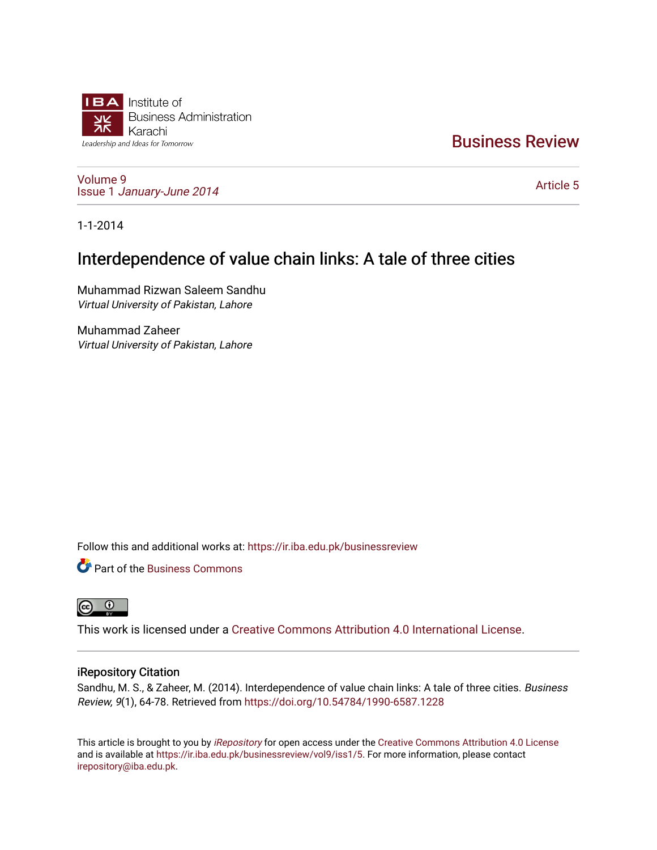

# [Business Review](https://ir.iba.edu.pk/businessreview)

[Volume 9](https://ir.iba.edu.pk/businessreview/vol9) Issue 1 [January-June 2014](https://ir.iba.edu.pk/businessreview/vol9/iss1) 

[Article 5](https://ir.iba.edu.pk/businessreview/vol9/iss1/5) 

1-1-2014

# Interdependence of value chain links: A tale of three cities

Muhammad Rizwan Saleem Sandhu Virtual University of Pakistan, Lahore

Muhammad Zaheer Virtual University of Pakistan, Lahore

Follow this and additional works at: [https://ir.iba.edu.pk/businessreview](https://ir.iba.edu.pk/businessreview?utm_source=ir.iba.edu.pk%2Fbusinessreview%2Fvol9%2Fiss1%2F5&utm_medium=PDF&utm_campaign=PDFCoverPages) 

**P** Part of the [Business Commons](http://network.bepress.com/hgg/discipline/622?utm_source=ir.iba.edu.pk%2Fbusinessreview%2Fvol9%2Fiss1%2F5&utm_medium=PDF&utm_campaign=PDFCoverPages)



This work is licensed under a [Creative Commons Attribution 4.0 International License](https://creativecommons.org/licenses/by/4.0/).

# iRepository Citation

Sandhu, M. S., & Zaheer, M. (2014). Interdependence of value chain links: A tale of three cities. Business Review, 9(1), 64-78. Retrieved from <https://doi.org/10.54784/1990-6587.1228>

This article is brought to you by [iRepository](https://ir.iba.edu.pk/) for open access under the Creative Commons Attribution 4.0 License and is available at [https://ir.iba.edu.pk/businessreview/vol9/iss1/5.](https://ir.iba.edu.pk/businessreview/vol9/iss1/5) For more information, please contact [irepository@iba.edu.pk.](mailto:irepository@iba.edu.pk)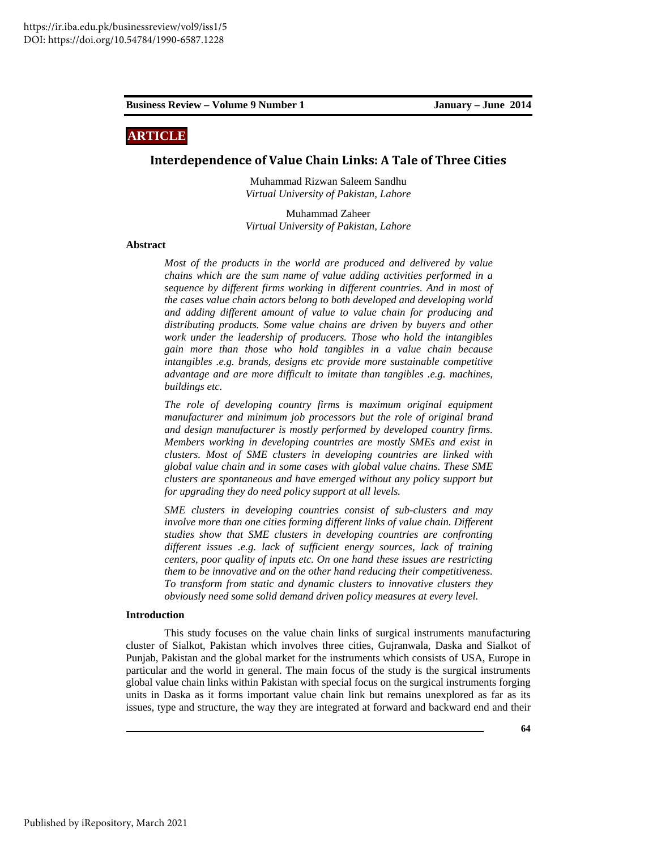# **ARTICLE**

### **Interdependence of Value Chain Links: A Tale of Three Cities**

Muhammad Rizwan Saleem Sandhu *Virtual University of Pakistan, Lahore* 

Muhammad Zaheer *Virtual University of Pakistan, Lahore* 

#### **Abstract**

*Most of the products in the world are produced and delivered by value chains which are the sum name of value adding activities performed in a sequence by different firms working in different countries. And in most of the cases value chain actors belong to both developed and developing world and adding different amount of value to value chain for producing and distributing products. Some value chains are driven by buyers and other work under the leadership of producers. Those who hold the intangibles gain more than those who hold tangibles in a value chain because intangibles .e.g. brands, designs etc provide more sustainable competitive advantage and are more difficult to imitate than tangibles .e.g. machines, buildings etc.* 

*The role of developing country firms is maximum original equipment manufacturer and minimum job processors but the role of original brand and design manufacturer is mostly performed by developed country firms. Members working in developing countries are mostly SMEs and exist in clusters. Most of SME clusters in developing countries are linked with global value chain and in some cases with global value chains. These SME clusters are spontaneous and have emerged without any policy support but for upgrading they do need policy support at all levels.* 

*SME clusters in developing countries consist of sub-clusters and may*  involve more than one cities forming different links of value chain. Different *studies show that SME clusters in developing countries are confronting different issues .e.g. lack of sufficient energy sources, lack of training centers, poor quality of inputs etc. On one hand these issues are restricting them to be innovative and on the other hand reducing their competitiveness. To transform from static and dynamic clusters to innovative clusters they obviously need some solid demand driven policy measures at every level.* 

#### **Introduction**

This study focuses on the value chain links of surgical instruments manufacturing cluster of Sialkot, Pakistan which involves three cities, Gujranwala, Daska and Sialkot of Punjab, Pakistan and the global market for the instruments which consists of USA, Europe in particular and the world in general. The main focus of the study is the surgical instruments global value chain links within Pakistan with special focus on the surgical instruments forging units in Daska as it forms important value chain link but remains unexplored as far as its issues, type and structure, the way they are integrated at forward and backward end and their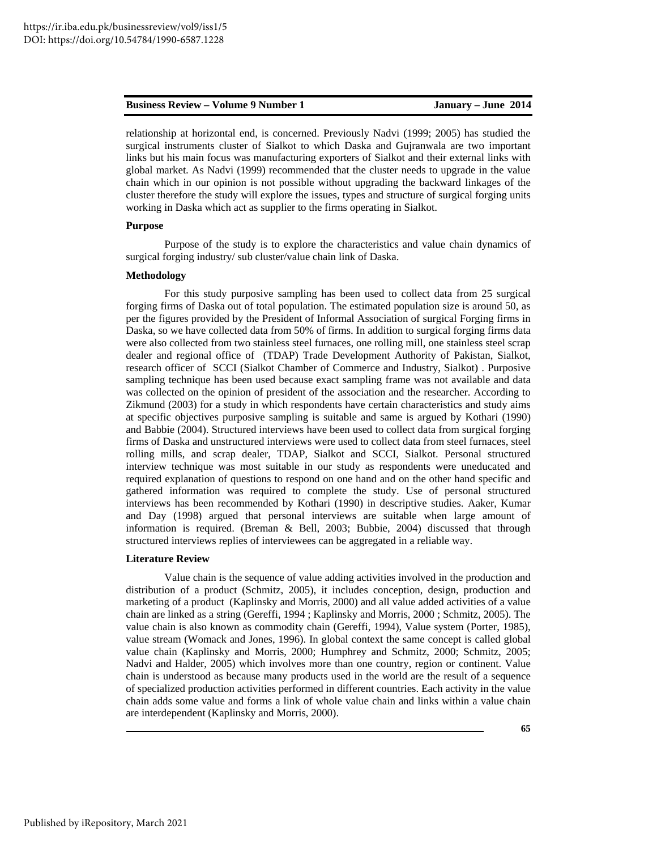relationship at horizontal end, is concerned. Previously Nadvi (1999; 2005) has studied the surgical instruments cluster of Sialkot to which Daska and Gujranwala are two important links but his main focus was manufacturing exporters of Sialkot and their external links with global market. As Nadvi (1999) recommended that the cluster needs to upgrade in the value chain which in our opinion is not possible without upgrading the backward linkages of the cluster therefore the study will explore the issues, types and structure of surgical forging units working in Daska which act as supplier to the firms operating in Sialkot.

#### **Purpose**

Purpose of the study is to explore the characteristics and value chain dynamics of surgical forging industry/ sub cluster/value chain link of Daska.

# **Methodology**

For this study purposive sampling has been used to collect data from 25 surgical forging firms of Daska out of total population. The estimated population size is around 50, as per the figures provided by the President of Informal Association of surgical Forging firms in Daska, so we have collected data from 50% of firms. In addition to surgical forging firms data were also collected from two stainless steel furnaces, one rolling mill, one stainless steel scrap dealer and regional office of (TDAP) Trade Development Authority of Pakistan, Sialkot, research officer of SCCI (Sialkot Chamber of Commerce and Industry, Sialkot) . Purposive sampling technique has been used because exact sampling frame was not available and data was collected on the opinion of president of the association and the researcher. According to Zikmund (2003) for a study in which respondents have certain characteristics and study aims at specific objectives purposive sampling is suitable and same is argued by Kothari (1990) and Babbie (2004). Structured interviews have been used to collect data from surgical forging firms of Daska and unstructured interviews were used to collect data from steel furnaces, steel rolling mills, and scrap dealer, TDAP, Sialkot and SCCI, Sialkot. Personal structured interview technique was most suitable in our study as respondents were uneducated and required explanation of questions to respond on one hand and on the other hand specific and gathered information was required to complete the study. Use of personal structured interviews has been recommended by Kothari (1990) in descriptive studies. Aaker, Kumar and Day (1998) argued that personal interviews are suitable when large amount of information is required. (Breman & Bell, 2003; Bubbie, 2004) discussed that through structured interviews replies of interviewees can be aggregated in a reliable way.

#### **Literature Review**

Value chain is the sequence of value adding activities involved in the production and distribution of a product (Schmitz, 2005), it includes conception, design, production and marketing of a product (Kaplinsky and Morris, 2000) and all value added activities of a value chain are linked as a string (Gereffi, 1994 ; Kaplinsky and Morris, 2000 ; Schmitz, 2005). The value chain is also known as commodity chain (Gereffi, 1994), Value system (Porter, 1985), value stream (Womack and Jones, 1996). In global context the same concept is called global value chain (Kaplinsky and Morris, 2000; Humphrey and Schmitz, 2000; Schmitz, 2005; Nadvi and Halder, 2005) which involves more than one country, region or continent. Value chain is understood as because many products used in the world are the result of a sequence of specialized production activities performed in different countries. Each activity in the value chain adds some value and forms a link of whole value chain and links within a value chain are interdependent (Kaplinsky and Morris, 2000).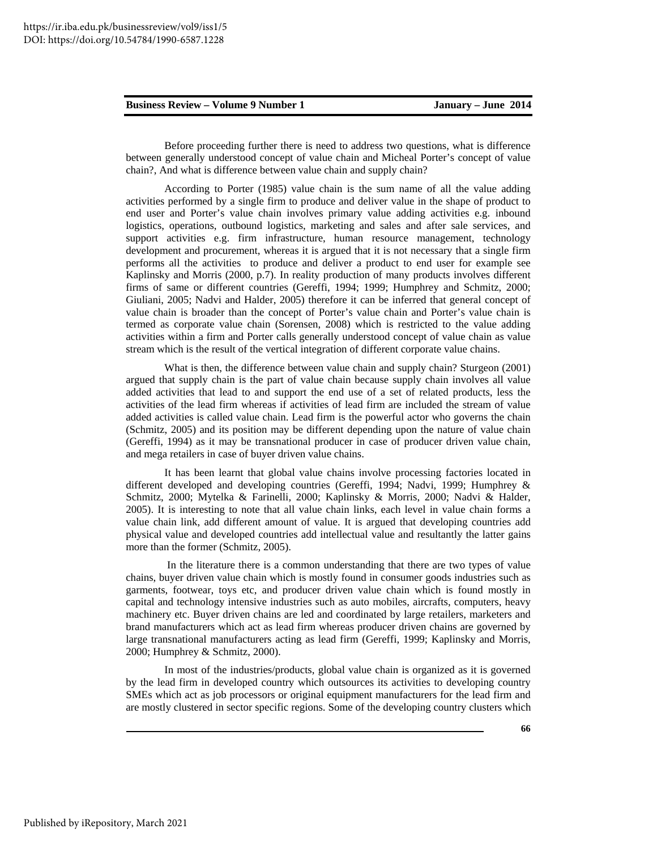Before proceeding further there is need to address two questions, what is difference between generally understood concept of value chain and Micheal Porter's concept of value chain?, And what is difference between value chain and supply chain?

According to Porter (1985) value chain is the sum name of all the value adding activities performed by a single firm to produce and deliver value in the shape of product to end user and Porter's value chain involves primary value adding activities e.g. inbound logistics, operations, outbound logistics, marketing and sales and after sale services, and support activities e.g. firm infrastructure, human resource management, technology development and procurement, whereas it is argued that it is not necessary that a single firm performs all the activities to produce and deliver a product to end user for example see Kaplinsky and Morris (2000, p.7). In reality production of many products involves different firms of same or different countries (Gereffi, 1994; 1999; Humphrey and Schmitz, 2000; Giuliani, 2005; Nadvi and Halder, 2005) therefore it can be inferred that general concept of value chain is broader than the concept of Porter's value chain and Porter's value chain is termed as corporate value chain (Sorensen, 2008) which is restricted to the value adding activities within a firm and Porter calls generally understood concept of value chain as value stream which is the result of the vertical integration of different corporate value chains.

What is then, the difference between value chain and supply chain? Sturgeon (2001) argued that supply chain is the part of value chain because supply chain involves all value added activities that lead to and support the end use of a set of related products, less the activities of the lead firm whereas if activities of lead firm are included the stream of value added activities is called value chain. Lead firm is the powerful actor who governs the chain (Schmitz, 2005) and its position may be different depending upon the nature of value chain (Gereffi, 1994) as it may be transnational producer in case of producer driven value chain, and mega retailers in case of buyer driven value chains.

It has been learnt that global value chains involve processing factories located in different developed and developing countries (Gereffi, 1994; Nadvi, 1999; Humphrey & Schmitz, 2000; Mytelka & Farinelli, 2000; Kaplinsky & Morris, 2000; Nadvi & Halder, 2005). It is interesting to note that all value chain links, each level in value chain forms a value chain link, add different amount of value. It is argued that developing countries add physical value and developed countries add intellectual value and resultantly the latter gains more than the former (Schmitz, 2005).

 In the literature there is a common understanding that there are two types of value chains, buyer driven value chain which is mostly found in consumer goods industries such as garments, footwear, toys etc, and producer driven value chain which is found mostly in capital and technology intensive industries such as auto mobiles, aircrafts, computers, heavy machinery etc. Buyer driven chains are led and coordinated by large retailers, marketers and brand manufacturers which act as lead firm whereas producer driven chains are governed by large transnational manufacturers acting as lead firm (Gereffi, 1999; Kaplinsky and Morris, 2000; Humphrey & Schmitz, 2000).

In most of the industries/products, global value chain is organized as it is governed by the lead firm in developed country which outsources its activities to developing country SMEs which act as job processors or original equipment manufacturers for the lead firm and are mostly clustered in sector specific regions. Some of the developing country clusters which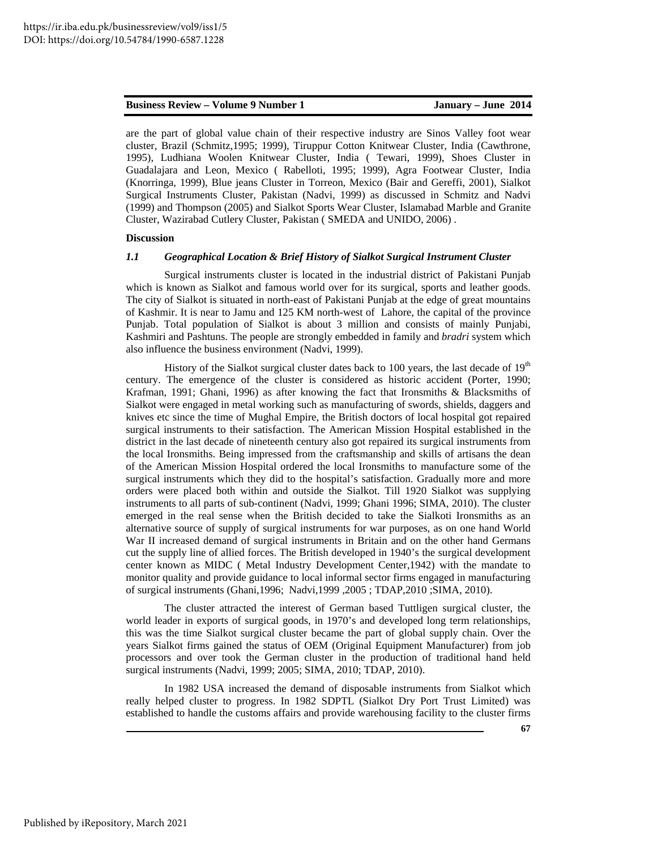are the part of global value chain of their respective industry are Sinos Valley foot wear cluster, Brazil (Schmitz,1995; 1999), Tiruppur Cotton Knitwear Cluster, India (Cawthrone, 1995), Ludhiana Woolen Knitwear Cluster, India ( Tewari, 1999), Shoes Cluster in Guadalajara and Leon, Mexico ( Rabelloti, 1995; 1999), Agra Footwear Cluster, India (Knorringa, 1999), Blue jeans Cluster in Torreon, Mexico (Bair and Gereffi, 2001), Sialkot Surgical Instruments Cluster, Pakistan (Nadvi, 1999) as discussed in Schmitz and Nadvi (1999) and Thompson (2005) and Sialkot Sports Wear Cluster, Islamabad Marble and Granite Cluster, Wazirabad Cutlery Cluster, Pakistan ( SMEDA and UNIDO, 2006) .

#### **Discussion**

#### *1.1 Geographical Location & Brief History of Sialkot Surgical Instrument Cluster*

Surgical instruments cluster is located in the industrial district of Pakistani Punjab which is known as Sialkot and famous world over for its surgical, sports and leather goods. The city of Sialkot is situated in north-east of Pakistani Punjab at the edge of great mountains of Kashmir. It is near to Jamu and 125 KM north-west of Lahore, the capital of the province Punjab. Total population of Sialkot is about 3 million and consists of mainly Punjabi, Kashmiri and Pashtuns. The people are strongly embedded in family and *bradri* system which also influence the business environment (Nadvi, 1999).

History of the Sialkot surgical cluster dates back to 100 years, the last decade of  $19<sup>th</sup>$ century. The emergence of the cluster is considered as historic accident (Porter, 1990; Krafman, 1991; Ghani, 1996) as after knowing the fact that Ironsmiths & Blacksmiths of Sialkot were engaged in metal working such as manufacturing of swords, shields, daggers and knives etc since the time of Mughal Empire, the British doctors of local hospital got repaired surgical instruments to their satisfaction. The American Mission Hospital established in the district in the last decade of nineteenth century also got repaired its surgical instruments from the local Ironsmiths. Being impressed from the craftsmanship and skills of artisans the dean of the American Mission Hospital ordered the local Ironsmiths to manufacture some of the surgical instruments which they did to the hospital's satisfaction. Gradually more and more orders were placed both within and outside the Sialkot. Till 1920 Sialkot was supplying instruments to all parts of sub-continent (Nadvi, 1999; Ghani 1996; SIMA, 2010). The cluster emerged in the real sense when the British decided to take the Sialkoti Ironsmiths as an alternative source of supply of surgical instruments for war purposes, as on one hand World War II increased demand of surgical instruments in Britain and on the other hand Germans cut the supply line of allied forces. The British developed in 1940's the surgical development center known as MIDC ( Metal Industry Development Center,1942) with the mandate to monitor quality and provide guidance to local informal sector firms engaged in manufacturing of surgical instruments (Ghani,1996; Nadvi,1999 ,2005 ; TDAP,2010 ;SIMA, 2010).

The cluster attracted the interest of German based Tuttligen surgical cluster, the world leader in exports of surgical goods, in 1970's and developed long term relationships, this was the time Sialkot surgical cluster became the part of global supply chain. Over the years Sialkot firms gained the status of OEM (Original Equipment Manufacturer) from job processors and over took the German cluster in the production of traditional hand held surgical instruments (Nadvi, 1999; 2005; SIMA, 2010; TDAP, 2010).

In 1982 USA increased the demand of disposable instruments from Sialkot which really helped cluster to progress. In 1982 SDPTL (Sialkot Dry Port Trust Limited) was established to handle the customs affairs and provide warehousing facility to the cluster firms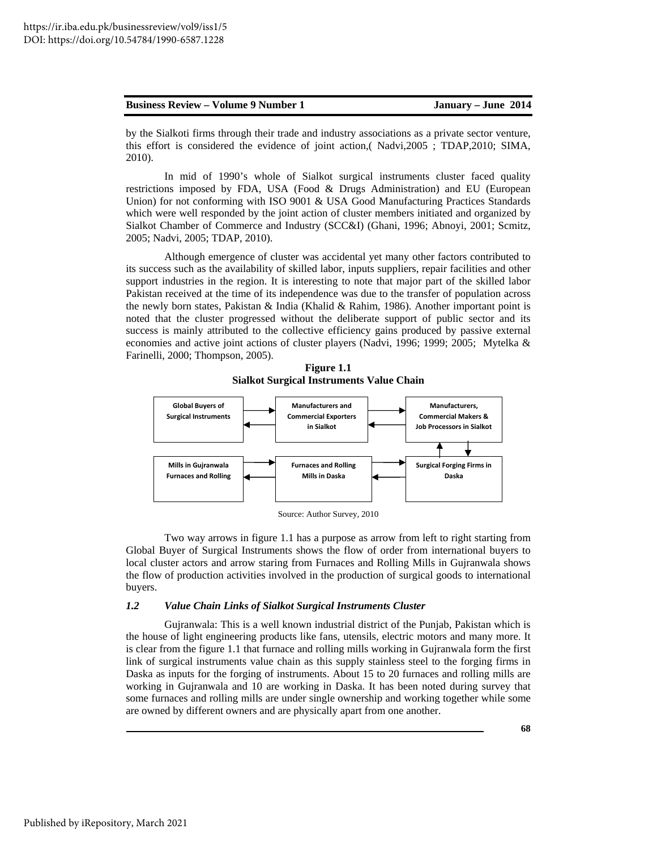by the Sialkoti firms through their trade and industry associations as a private sector venture, this effort is considered the evidence of joint action,( Nadvi,2005 ; TDAP,2010; SIMA, 2010).

In mid of 1990's whole of Sialkot surgical instruments cluster faced quality restrictions imposed by FDA, USA (Food & Drugs Administration) and EU (European Union) for not conforming with ISO 9001 & USA Good Manufacturing Practices Standards which were well responded by the joint action of cluster members initiated and organized by Sialkot Chamber of Commerce and Industry (SCC&I) (Ghani, 1996; Abnoyi, 2001; Scmitz, 2005; Nadvi, 2005; TDAP, 2010).

Although emergence of cluster was accidental yet many other factors contributed to its success such as the availability of skilled labor, inputs suppliers, repair facilities and other support industries in the region. It is interesting to note that major part of the skilled labor Pakistan received at the time of its independence was due to the transfer of population across the newly born states, Pakistan & India (Khalid & Rahim, 1986). Another important point is noted that the cluster progressed without the deliberate support of public sector and its success is mainly attributed to the collective efficiency gains produced by passive external economies and active joint actions of cluster players (Nadvi, 1996; 1999; 2005; Mytelka & Farinelli, 2000; Thompson, 2005).

**Figure 1.1 Sialkot Surgical Instruments Value Chain** 



Source: Author Survey, 2010

Two way arrows in figure 1.1 has a purpose as arrow from left to right starting from Global Buyer of Surgical Instruments shows the flow of order from international buyers to local cluster actors and arrow staring from Furnaces and Rolling Mills in Gujranwala shows the flow of production activities involved in the production of surgical goods to international buyers.

#### *1.2 Value Chain Links of Sialkot Surgical Instruments Cluster*

Gujranwala: This is a well known industrial district of the Punjab, Pakistan which is the house of light engineering products like fans, utensils, electric motors and many more. It is clear from the figure 1.1 that furnace and rolling mills working in Gujranwala form the first link of surgical instruments value chain as this supply stainless steel to the forging firms in Daska as inputs for the forging of instruments. About 15 to 20 furnaces and rolling mills are working in Gujranwala and 10 are working in Daska. It has been noted during survey that some furnaces and rolling mills are under single ownership and working together while some are owned by different owners and are physically apart from one another.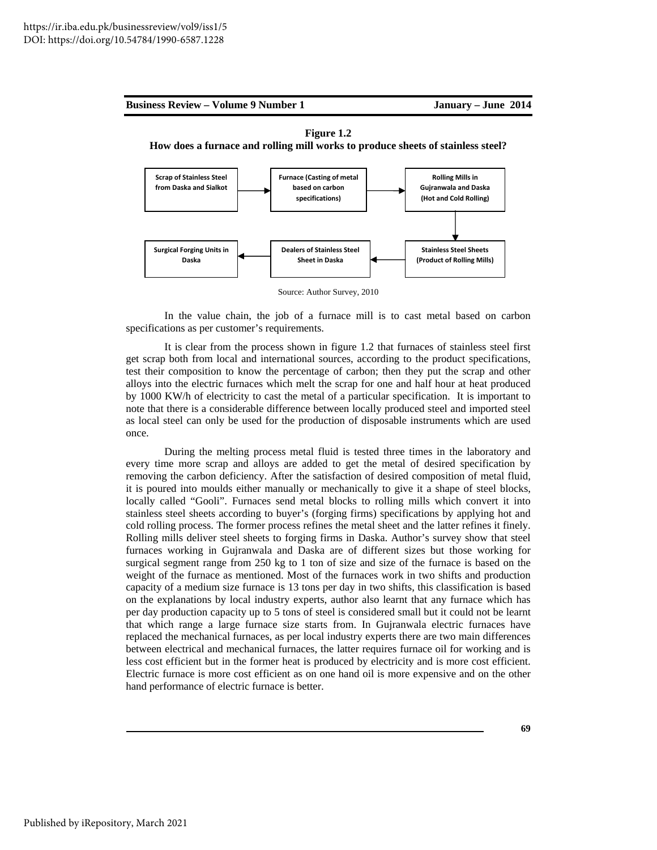





Source: Author Survey, 2010

In the value chain, the job of a furnace mill is to cast metal based on carbon specifications as per customer's requirements.

It is clear from the process shown in figure 1.2 that furnaces of stainless steel first get scrap both from local and international sources, according to the product specifications, test their composition to know the percentage of carbon; then they put the scrap and other alloys into the electric furnaces which melt the scrap for one and half hour at heat produced by 1000 KW/h of electricity to cast the metal of a particular specification. It is important to note that there is a considerable difference between locally produced steel and imported steel as local steel can only be used for the production of disposable instruments which are used once.

During the melting process metal fluid is tested three times in the laboratory and every time more scrap and alloys are added to get the metal of desired specification by removing the carbon deficiency. After the satisfaction of desired composition of metal fluid, it is poured into moulds either manually or mechanically to give it a shape of steel blocks, locally called "Gooli". Furnaces send metal blocks to rolling mills which convert it into stainless steel sheets according to buyer's (forging firms) specifications by applying hot and cold rolling process. The former process refines the metal sheet and the latter refines it finely. Rolling mills deliver steel sheets to forging firms in Daska. Author's survey show that steel furnaces working in Gujranwala and Daska are of different sizes but those working for surgical segment range from 250 kg to 1 ton of size and size of the furnace is based on the weight of the furnace as mentioned. Most of the furnaces work in two shifts and production capacity of a medium size furnace is 13 tons per day in two shifts, this classification is based on the explanations by local industry experts, author also learnt that any furnace which has per day production capacity up to 5 tons of steel is considered small but it could not be learnt that which range a large furnace size starts from. In Gujranwala electric furnaces have replaced the mechanical furnaces, as per local industry experts there are two main differences between electrical and mechanical furnaces, the latter requires furnace oil for working and is less cost efficient but in the former heat is produced by electricity and is more cost efficient. Electric furnace is more cost efficient as on one hand oil is more expensive and on the other hand performance of electric furnace is better.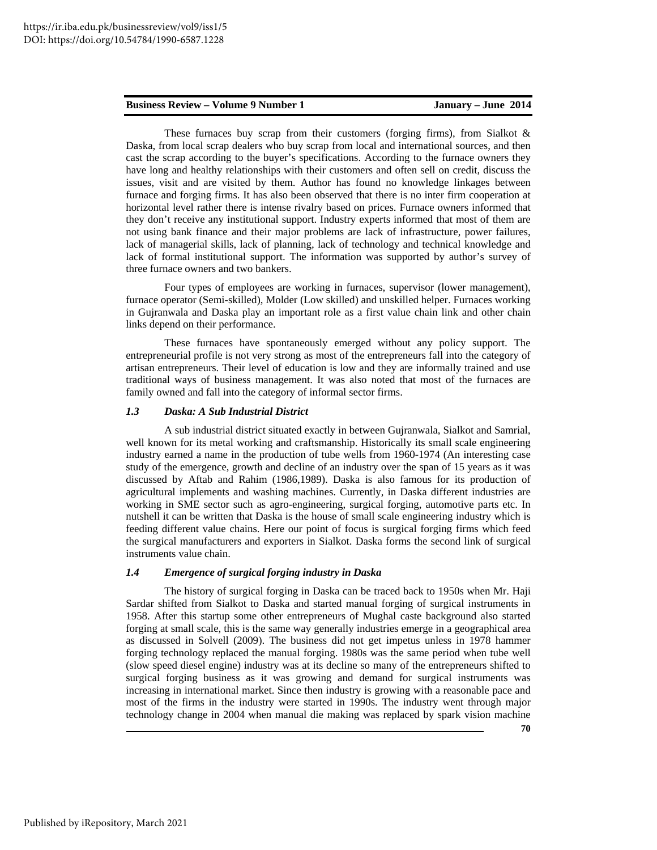These furnaces buy scrap from their customers (forging firms), from Sialkot  $\&$ Daska, from local scrap dealers who buy scrap from local and international sources, and then cast the scrap according to the buyer's specifications. According to the furnace owners they have long and healthy relationships with their customers and often sell on credit, discuss the issues, visit and are visited by them. Author has found no knowledge linkages between furnace and forging firms. It has also been observed that there is no inter firm cooperation at horizontal level rather there is intense rivalry based on prices. Furnace owners informed that they don't receive any institutional support. Industry experts informed that most of them are not using bank finance and their major problems are lack of infrastructure, power failures, lack of managerial skills, lack of planning, lack of technology and technical knowledge and lack of formal institutional support. The information was supported by author's survey of three furnace owners and two bankers.

Four types of employees are working in furnaces, supervisor (lower management), furnace operator (Semi-skilled), Molder (Low skilled) and unskilled helper. Furnaces working in Gujranwala and Daska play an important role as a first value chain link and other chain links depend on their performance.

These furnaces have spontaneously emerged without any policy support. The entrepreneurial profile is not very strong as most of the entrepreneurs fall into the category of artisan entrepreneurs. Their level of education is low and they are informally trained and use traditional ways of business management. It was also noted that most of the furnaces are family owned and fall into the category of informal sector firms.

#### *1.3 Daska: A Sub Industrial District*

A sub industrial district situated exactly in between Gujranwala, Sialkot and Samrial, well known for its metal working and craftsmanship. Historically its small scale engineering industry earned a name in the production of tube wells from 1960-1974 (An interesting case study of the emergence, growth and decline of an industry over the span of 15 years as it was discussed by Aftab and Rahim (1986,1989). Daska is also famous for its production of agricultural implements and washing machines. Currently, in Daska different industries are working in SME sector such as agro-engineering, surgical forging, automotive parts etc. In nutshell it can be written that Daska is the house of small scale engineering industry which is feeding different value chains. Here our point of focus is surgical forging firms which feed the surgical manufacturers and exporters in Sialkot. Daska forms the second link of surgical instruments value chain.

# *1.4 Emergence of surgical forging industry in Daska*

The history of surgical forging in Daska can be traced back to 1950s when Mr. Haji Sardar shifted from Sialkot to Daska and started manual forging of surgical instruments in 1958. After this startup some other entrepreneurs of Mughal caste background also started forging at small scale, this is the same way generally industries emerge in a geographical area as discussed in Solvell (2009). The business did not get impetus unless in 1978 hammer forging technology replaced the manual forging. 1980s was the same period when tube well (slow speed diesel engine) industry was at its decline so many of the entrepreneurs shifted to surgical forging business as it was growing and demand for surgical instruments was increasing in international market. Since then industry is growing with a reasonable pace and most of the firms in the industry were started in 1990s. The industry went through major technology change in 2004 when manual die making was replaced by spark vision machine

**70**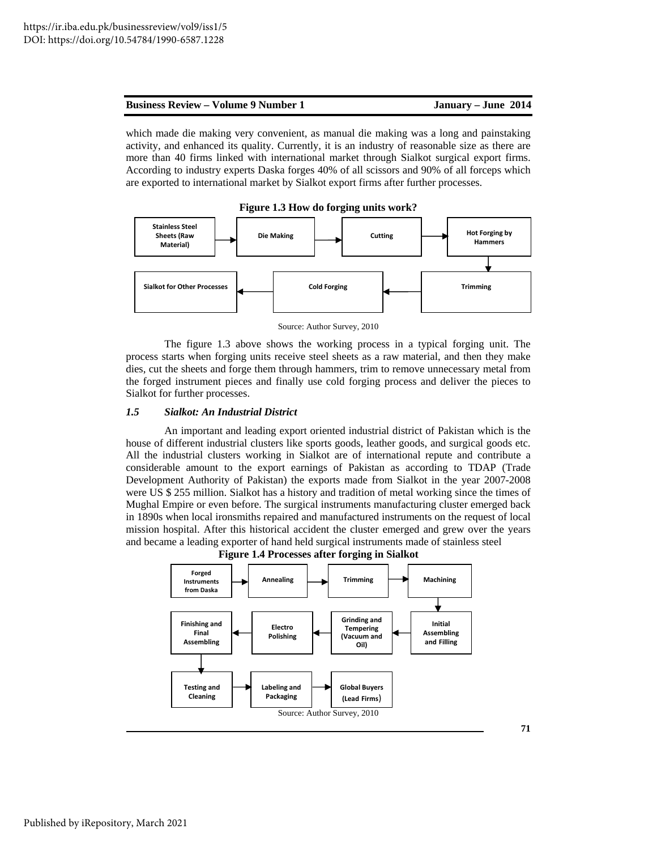**71** 

which made die making very convenient, as manual die making was a long and painstaking activity, and enhanced its quality. Currently, it is an industry of reasonable size as there are more than 40 firms linked with international market through Sialkot surgical export firms. According to industry experts Daska forges 40% of all scissors and 90% of all forceps which are exported to international market by Sialkot export firms after further processes.





Source: Author Survey, 2010

The figure 1.3 above shows the working process in a typical forging unit. The process starts when forging units receive steel sheets as a raw material, and then they make dies, cut the sheets and forge them through hammers, trim to remove unnecessary metal from the forged instrument pieces and finally use cold forging process and deliver the pieces to Sialkot for further processes.

# *1.5 Sialkot: An Industrial District*

An important and leading export oriented industrial district of Pakistan which is the house of different industrial clusters like sports goods, leather goods, and surgical goods etc. All the industrial clusters working in Sialkot are of international repute and contribute a considerable amount to the export earnings of Pakistan as according to TDAP (Trade Development Authority of Pakistan) the exports made from Sialkot in the year 2007-2008 were US \$ 255 million. Sialkot has a history and tradition of metal working since the times of Mughal Empire or even before. The surgical instruments manufacturing cluster emerged back in 1890s when local ironsmiths repaired and manufactured instruments on the request of local mission hospital. After this historical accident the cluster emerged and grew over the years and became a leading exporter of hand held surgical instruments made of stainless steel



**Figure 1.4 Processes after forging in Sialkot**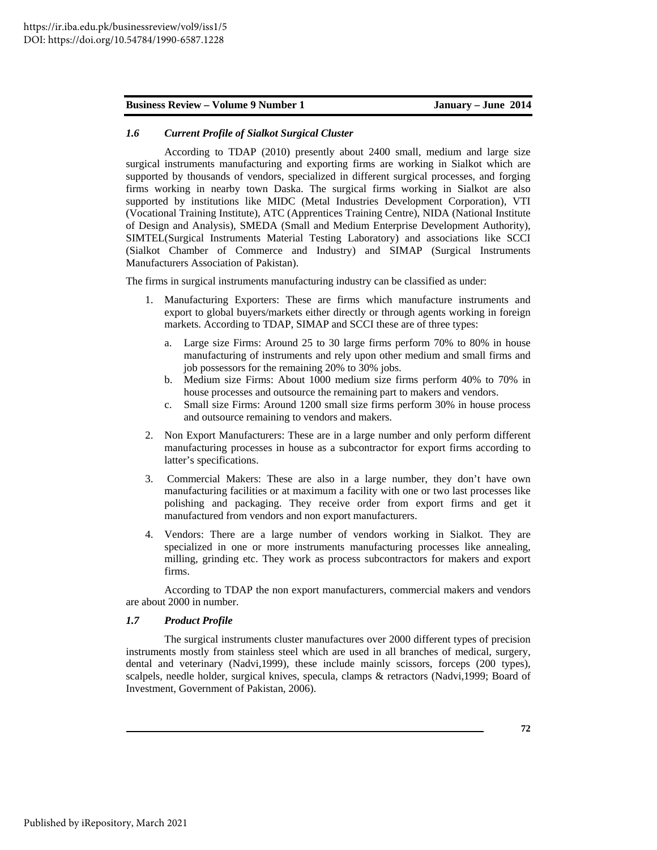# *1.6 Current Profile of Sialkot Surgical Cluster*

According to TDAP (2010) presently about 2400 small, medium and large size surgical instruments manufacturing and exporting firms are working in Sialkot which are supported by thousands of vendors, specialized in different surgical processes, and forging firms working in nearby town Daska. The surgical firms working in Sialkot are also supported by institutions like MIDC (Metal Industries Development Corporation), VTI (Vocational Training Institute), ATC (Apprentices Training Centre), NIDA (National Institute of Design and Analysis), SMEDA (Small and Medium Enterprise Development Authority), SIMTEL(Surgical Instruments Material Testing Laboratory) and associations like SCCI (Sialkot Chamber of Commerce and Industry) and SIMAP (Surgical Instruments Manufacturers Association of Pakistan).

The firms in surgical instruments manufacturing industry can be classified as under:

- 1. Manufacturing Exporters: These are firms which manufacture instruments and export to global buyers/markets either directly or through agents working in foreign markets. According to TDAP, SIMAP and SCCI these are of three types:
	- a. Large size Firms: Around 25 to 30 large firms perform 70% to 80% in house manufacturing of instruments and rely upon other medium and small firms and job possessors for the remaining 20% to 30% jobs.
	- b. Medium size Firms: About 1000 medium size firms perform 40% to 70% in house processes and outsource the remaining part to makers and vendors.
	- c. Small size Firms: Around 1200 small size firms perform 30% in house process and outsource remaining to vendors and makers.
- 2. Non Export Manufacturers: These are in a large number and only perform different manufacturing processes in house as a subcontractor for export firms according to latter's specifications.
- 3. Commercial Makers: These are also in a large number, they don't have own manufacturing facilities or at maximum a facility with one or two last processes like polishing and packaging. They receive order from export firms and get it manufactured from vendors and non export manufacturers.
- 4. Vendors: There are a large number of vendors working in Sialkot. They are specialized in one or more instruments manufacturing processes like annealing, milling, grinding etc. They work as process subcontractors for makers and export firms.

According to TDAP the non export manufacturers, commercial makers and vendors are about 2000 in number.

## *1.7 Product Profile*

The surgical instruments cluster manufactures over 2000 different types of precision instruments mostly from stainless steel which are used in all branches of medical, surgery, dental and veterinary (Nadvi,1999), these include mainly scissors, forceps (200 types), scalpels, needle holder, surgical knives, specula, clamps & retractors (Nadvi,1999; Board of Investment, Government of Pakistan, 2006).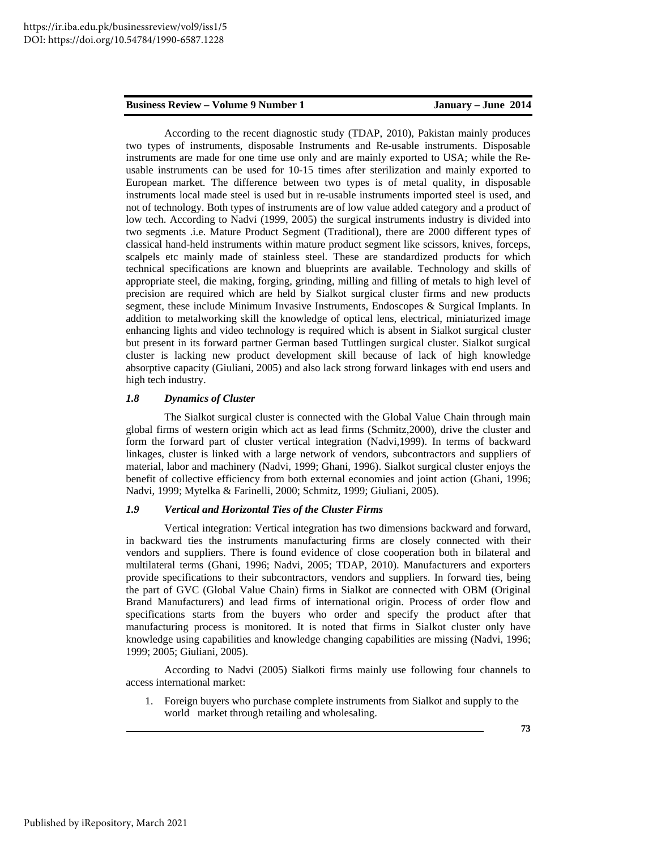According to the recent diagnostic study (TDAP, 2010), Pakistan mainly produces two types of instruments, disposable Instruments and Re-usable instruments. Disposable instruments are made for one time use only and are mainly exported to USA; while the Reusable instruments can be used for 10-15 times after sterilization and mainly exported to European market. The difference between two types is of metal quality, in disposable instruments local made steel is used but in re-usable instruments imported steel is used, and not of technology. Both types of instruments are of low value added category and a product of low tech. According to Nadvi (1999, 2005) the surgical instruments industry is divided into two segments .i.e. Mature Product Segment (Traditional), there are 2000 different types of classical hand-held instruments within mature product segment like scissors, knives, forceps, scalpels etc mainly made of stainless steel. These are standardized products for which technical specifications are known and blueprints are available. Technology and skills of appropriate steel, die making, forging, grinding, milling and filling of metals to high level of precision are required which are held by Sialkot surgical cluster firms and new products segment, these include Minimum Invasive Instruments, Endoscopes & Surgical Implants. In addition to metalworking skill the knowledge of optical lens, electrical, miniaturized image enhancing lights and video technology is required which is absent in Sialkot surgical cluster but present in its forward partner German based Tuttlingen surgical cluster. Sialkot surgical cluster is lacking new product development skill because of lack of high knowledge absorptive capacity (Giuliani, 2005) and also lack strong forward linkages with end users and high tech industry.

## *1.8 Dynamics of Cluster*

The Sialkot surgical cluster is connected with the Global Value Chain through main global firms of western origin which act as lead firms (Schmitz,2000), drive the cluster and form the forward part of cluster vertical integration (Nadvi,1999). In terms of backward linkages, cluster is linked with a large network of vendors, subcontractors and suppliers of material, labor and machinery (Nadvi, 1999; Ghani, 1996). Sialkot surgical cluster enjoys the benefit of collective efficiency from both external economies and joint action (Ghani, 1996; Nadvi, 1999; Mytelka & Farinelli, 2000; Schmitz, 1999; Giuliani, 2005).

#### *1.9 Vertical and Horizontal Ties of the Cluster Firms*

Vertical integration: Vertical integration has two dimensions backward and forward, in backward ties the instruments manufacturing firms are closely connected with their vendors and suppliers. There is found evidence of close cooperation both in bilateral and multilateral terms (Ghani, 1996; Nadvi, 2005; TDAP, 2010). Manufacturers and exporters provide specifications to their subcontractors, vendors and suppliers. In forward ties, being the part of GVC (Global Value Chain) firms in Sialkot are connected with OBM (Original Brand Manufacturers) and lead firms of international origin. Process of order flow and specifications starts from the buyers who order and specify the product after that manufacturing process is monitored. It is noted that firms in Sialkot cluster only have knowledge using capabilities and knowledge changing capabilities are missing (Nadvi, 1996; 1999; 2005; Giuliani, 2005).

According to Nadvi (2005) Sialkoti firms mainly use following four channels to access international market:

1. Foreign buyers who purchase complete instruments from Sialkot and supply to the world market through retailing and wholesaling.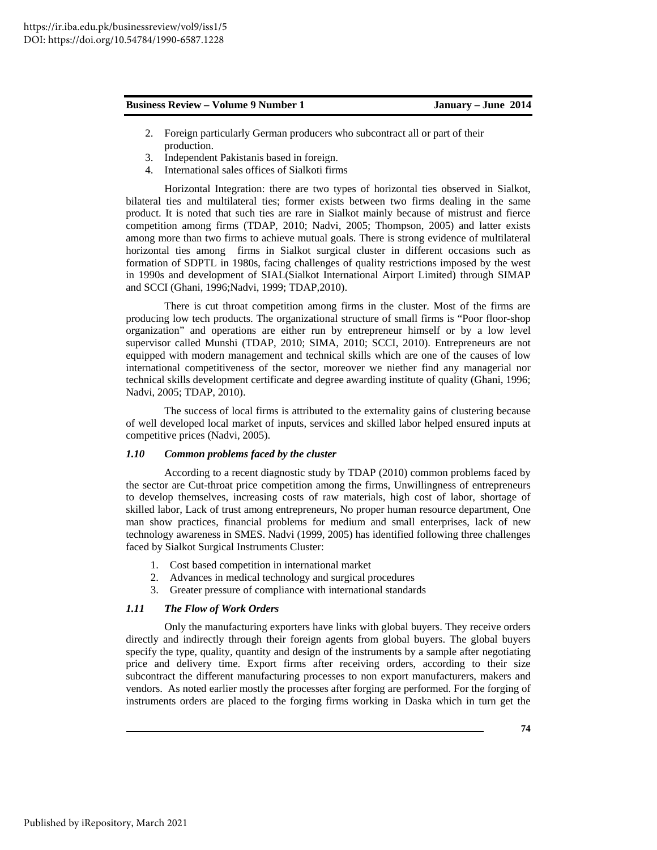- 2. Foreign particularly German producers who subcontract all or part of their production.
- 3. Independent Pakistanis based in foreign.
- 4. International sales offices of Sialkoti firms

Horizontal Integration: there are two types of horizontal ties observed in Sialkot, bilateral ties and multilateral ties; former exists between two firms dealing in the same product. It is noted that such ties are rare in Sialkot mainly because of mistrust and fierce competition among firms (TDAP, 2010; Nadvi, 2005; Thompson, 2005) and latter exists among more than two firms to achieve mutual goals. There is strong evidence of multilateral horizontal ties among firms in Sialkot surgical cluster in different occasions such as formation of SDPTL in 1980s, facing challenges of quality restrictions imposed by the west in 1990s and development of SIAL(Sialkot International Airport Limited) through SIMAP and SCCI (Ghani, 1996;Nadvi, 1999; TDAP,2010).

There is cut throat competition among firms in the cluster. Most of the firms are producing low tech products. The organizational structure of small firms is "Poor floor-shop organization" and operations are either run by entrepreneur himself or by a low level supervisor called Munshi (TDAP, 2010; SIMA, 2010; SCCI, 2010). Entrepreneurs are not equipped with modern management and technical skills which are one of the causes of low international competitiveness of the sector, moreover we niether find any managerial nor technical skills development certificate and degree awarding institute of quality (Ghani, 1996; Nadvi, 2005; TDAP, 2010).

The success of local firms is attributed to the externality gains of clustering because of well developed local market of inputs, services and skilled labor helped ensured inputs at competitive prices (Nadvi, 2005).

# *1.10 Common problems faced by the cluster*

According to a recent diagnostic study by TDAP (2010) common problems faced by the sector are Cut-throat price competition among the firms, Unwillingness of entrepreneurs to develop themselves, increasing costs of raw materials, high cost of labor, shortage of skilled labor, Lack of trust among entrepreneurs, No proper human resource department, One man show practices, financial problems for medium and small enterprises, lack of new technology awareness in SMES. Nadvi (1999, 2005) has identified following three challenges faced by Sialkot Surgical Instruments Cluster:

- 1. Cost based competition in international market
- 2. Advances in medical technology and surgical procedures
- 3. Greater pressure of compliance with international standards

## *1.11 The Flow of Work Orders*

Only the manufacturing exporters have links with global buyers. They receive orders directly and indirectly through their foreign agents from global buyers. The global buyers specify the type, quality, quantity and design of the instruments by a sample after negotiating price and delivery time. Export firms after receiving orders, according to their size subcontract the different manufacturing processes to non export manufacturers, makers and vendors. As noted earlier mostly the processes after forging are performed. For the forging of instruments orders are placed to the forging firms working in Daska which in turn get the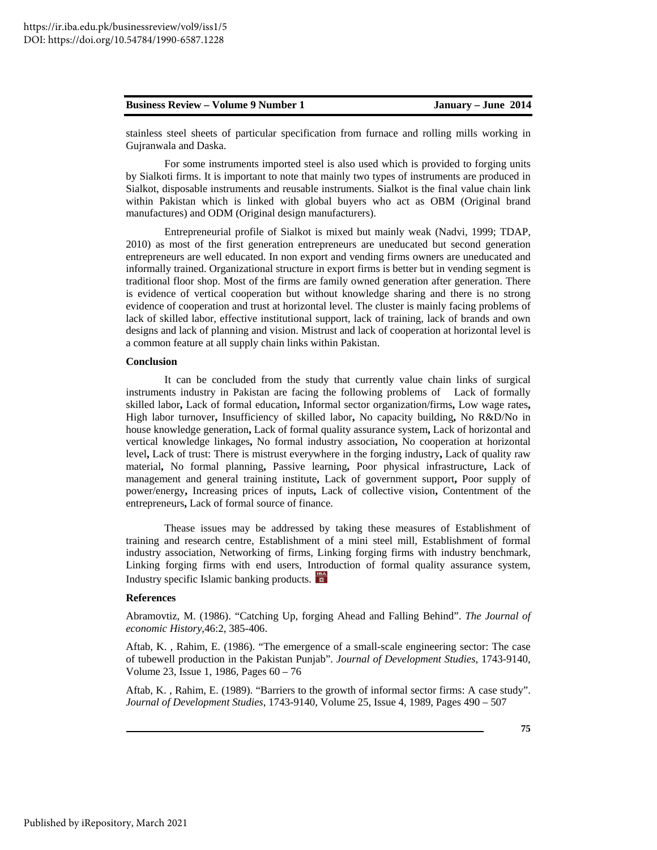stainless steel sheets of particular specification from furnace and rolling mills working in Gujranwala and Daska.

For some instruments imported steel is also used which is provided to forging units by Sialkoti firms. It is important to note that mainly two types of instruments are produced in Sialkot, disposable instruments and reusable instruments. Sialkot is the final value chain link within Pakistan which is linked with global buyers who act as OBM (Original brand manufactures) and ODM (Original design manufacturers).

Entrepreneurial profile of Sialkot is mixed but mainly weak (Nadvi, 1999; TDAP, 2010) as most of the first generation entrepreneurs are uneducated but second generation entrepreneurs are well educated. In non export and vending firms owners are uneducated and informally trained. Organizational structure in export firms is better but in vending segment is traditional floor shop. Most of the firms are family owned generation after generation. There is evidence of vertical cooperation but without knowledge sharing and there is no strong evidence of cooperation and trust at horizontal level. The cluster is mainly facing problems of lack of skilled labor, effective institutional support, lack of training, lack of brands and own designs and lack of planning and vision. Mistrust and lack of cooperation at horizontal level is a common feature at all supply chain links within Pakistan.

#### **Conclusion**

It can be concluded from the study that currently value chain links of surgical instruments industry in Pakistan are facing the following problems of Lack of formally skilled labor**,** Lack of formal education**,** Informal sector organization/firms**,** Low wage rates**,**  High labor turnover**,** Insufficiency of skilled labor**,** No capacity building**,** No R&D/No in house knowledge generation**,** Lack of formal quality assurance system**,** Lack of horizontal and vertical knowledge linkages**,** No formal industry association**,** No cooperation at horizontal level**,** Lack of trust: There is mistrust everywhere in the forging industry**,** Lack of quality raw material**,** No formal planning**,** Passive learning**,** Poor physical infrastructure**,** Lack of management and general training institute**,** Lack of government support**,** Poor supply of power/energy**,** Increasing prices of inputs**,** Lack of collective vision**,** Contentment of the entrepreneurs**,** Lack of formal source of finance.

Thease issues may be addressed by taking these measures of Establishment of training and research centre, Establishment of a mini steel mill, Establishment of formal industry association, Networking of firms, Linking forging firms with industry benchmark, Linking forging firms with end users, Introduction of formal quality assurance system, Industry specific Islamic banking products.

#### **References**

Abramovtiz, M. (1986). "Catching Up, forging Ahead and Falling Behind". *The Journal of economic History*,46:2, 385-406.

Aftab, K. , Rahim, E. (1986). "The emergence of a small-scale engineering sector: The case of tubewell production in the Pakistan Punjab". *Journal of Development Studies*, 1743-9140, Volume 23, Issue 1, 1986, Pages 60 – 76

Aftab, K. , Rahim, E. (1989). "Barriers to the growth of informal sector firms: A case study". *Journal of Development Studies*, 1743-9140, Volume 25, Issue 4, 1989, Pages 490 – 507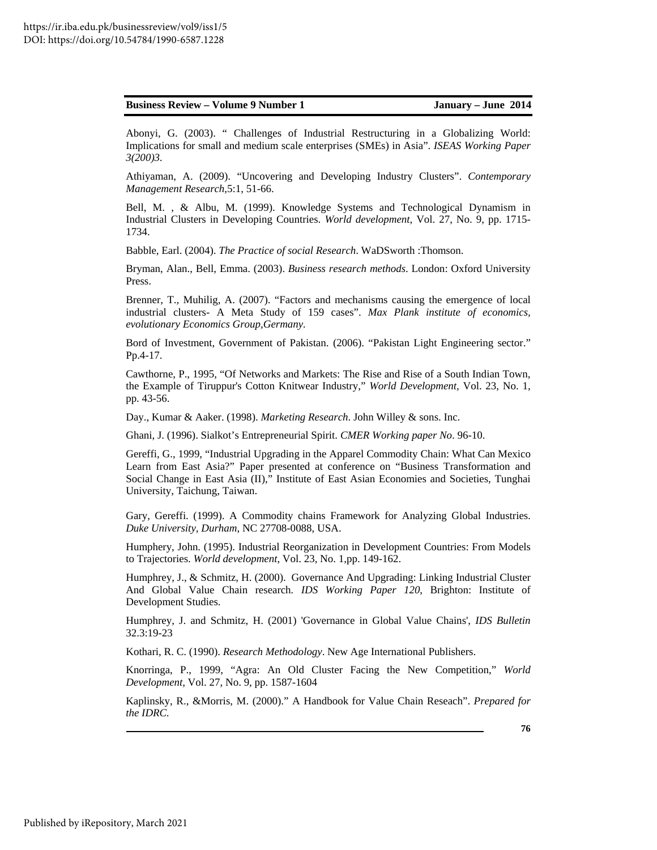| January – June 2014<br><b>Business Review – Volume 9 Number 1</b> |
|-------------------------------------------------------------------|
|-------------------------------------------------------------------|

Abonyi, G. (2003). " Challenges of Industrial Restructuring in a Globalizing World: Implications for small and medium scale enterprises (SMEs) in Asia". *ISEAS Working Paper 3(200)3.* 

Athiyaman, A. (2009). "Uncovering and Developing Industry Clusters". *Contemporary Management Research*,5:1, 51-66.

Bell, M. , & Albu, M. (1999). Knowledge Systems and Technological Dynamism in Industrial Clusters in Developing Countries. *World development*, Vol. 27, No. 9, pp. 1715- 1734.

Babble, Earl. (2004). *The Practice of social Research*. WaDSworth :Thomson.

Bryman, Alan., Bell, Emma. (2003). *Business research methods*. London: Oxford University Press.

Brenner, T., Muhilig, A. (2007). "Factors and mechanisms causing the emergence of local industrial clusters- A Meta Study of 159 cases". *Max Plank institute of economics, evolutionary Economics Group,Germany.* 

Bord of Investment, Government of Pakistan. (2006). "Pakistan Light Engineering sector." Pp.4-17.

Cawthorne, P., 1995, "Of Networks and Markets: The Rise and Rise of a South Indian Town, the Example of Tiruppur's Cotton Knitwear Industry," *World Development,* Vol. 23, No. 1, pp. 43-56.

Day., Kumar & Aaker. (1998). *Marketing Research*. John Willey & sons. Inc.

Ghani, J. (1996). Sialkot's Entrepreneurial Spirit. *CMER Working paper No*. 96-10.

Gereffi, G., 1999, "Industrial Upgrading in the Apparel Commodity Chain: What Can Mexico Learn from East Asia?" Paper presented at conference on "Business Transformation and Social Change in East Asia (II)," Institute of East Asian Economies and Societies, Tunghai University, Taichung, Taiwan.

Gary, Gereffi. (1999). A Commodity chains Framework for Analyzing Global Industries. *Duke University, Durham*, NC 27708-0088, USA.

Humphery, John. (1995). Industrial Reorganization in Development Countries: From Models to Trajectories. *World development*, Vol. 23, No. 1,pp. 149-162.

Humphrey, J., & Schmitz, H. (2000). Governance And Upgrading: Linking Industrial Cluster And Global Value Chain research*. IDS Working Paper 120*, Brighton: Institute of Development Studies.

Humphrey, J. and Schmitz, H. (2001) 'Governance in Global Value Chains', *IDS Bulletin* 32.3:19-23

Kothari, R. C. (1990). *Research Methodology*. New Age International Publishers.

Knorringa, P., 1999, "Agra: An Old Cluster Facing the New Competition," *World Development,* Vol. 27, No. 9, pp. 1587-1604

Kaplinsky, R., &Morris, M. (2000)." A Handbook for Value Chain Reseach". *Prepared for the IDRC.* 

**76**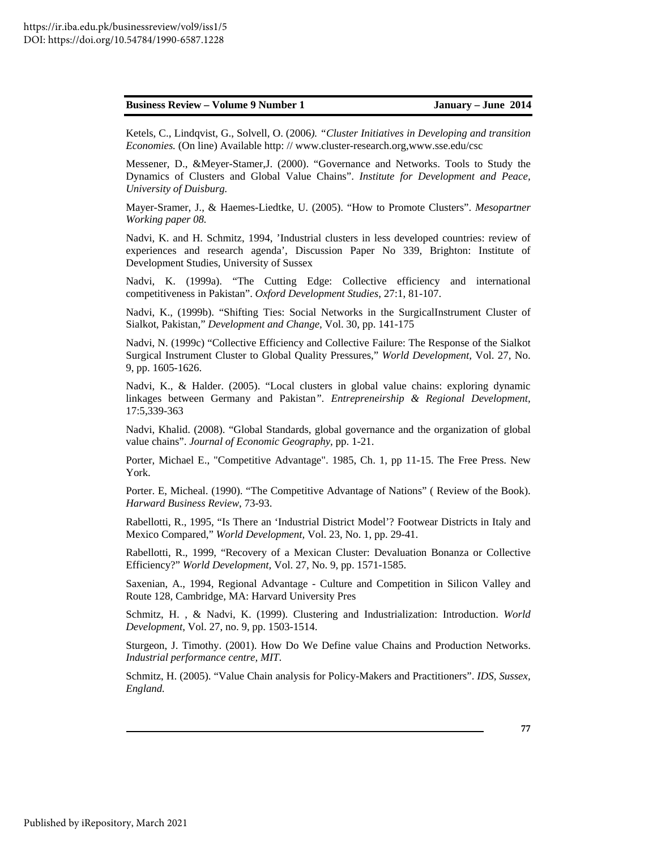Ketels, C., Lindqvist, G., Solvell, O. (2006*). "Cluster Initiatives in Developing and transition Economies.* (On line) Available http: // www.cluster-research.org,www.sse.edu/csc

Messener, D., &Meyer-Stamer,J. (2000). "Governance and Networks. Tools to Study the Dynamics of Clusters and Global Value Chains". *Institute for Development and Peace, University of Duisburg.* 

Mayer-Sramer, J., & Haemes-Liedtke, U. (2005). "How to Promote Clusters". *Mesopartner Working paper 08.* 

Nadvi, K. and H. Schmitz, 1994, 'Industrial clusters in less developed countries: review of experiences and research agenda', Discussion Paper No 339, Brighton: Institute of Development Studies, University of Sussex

Nadvi, K. (1999a). "The Cutting Edge: Collective efficiency and international competitiveness in Pakistan". *Oxford Development Studies*, 27:1, 81-107.

Nadvi, K., (1999b). "Shifting Ties: Social Networks in the SurgicalInstrument Cluster of Sialkot, Pakistan," *Development and Change,* Vol. 30, pp. 141-175

Nadvi, N. (1999c) "Collective Efficiency and Collective Failure: The Response of the Sialkot Surgical Instrument Cluster to Global Quality Pressures," *World Development,* Vol. 27, No. 9, pp. 1605-1626.

Nadvi, K., & Halder. (2005). "Local clusters in global value chains: exploring dynamic linkages between Germany and Pakistan*". Entrepreneirship & Regional Development,* 17:5,339-363

Nadvi, Khalid. (2008). "Global Standards, global governance and the organization of global value chains". *Journal of Economic Geography,* pp. 1-21.

Porter, Michael E., "Competitive Advantage". 1985, Ch. 1, pp 11-15. The Free Press. New York.

Porter. E, Micheal. (1990). "The Competitive Advantage of Nations" ( Review of the Book). *Harward Business Review*, 73-93.

Rabellotti, R., 1995, "Is There an 'Industrial District Model'? Footwear Districts in Italy and Mexico Compared," *World Development,* Vol. 23, No. 1, pp. 29-41.

Rabellotti, R., 1999, "Recovery of a Mexican Cluster: Devaluation Bonanza or Collective Efficiency?" *World Development,* Vol. 27, No. 9, pp. 1571-1585.

Saxenian, A., 1994, Regional Advantage - Culture and Competition in Silicon Valley and Route 128, Cambridge, MA: Harvard University Pres

Schmitz, H. , & Nadvi, K. (1999). Clustering and Industrialization: Introduction. *World Development*, Vol. 27, no. 9, pp. 1503-1514.

Sturgeon, J. Timothy. (2001). How Do We Define value Chains and Production Networks. *Industrial performance centre, MIT*.

Schmitz, H. (2005). "Value Chain analysis for Policy-Makers and Practitioners". *IDS, Sussex, England.*